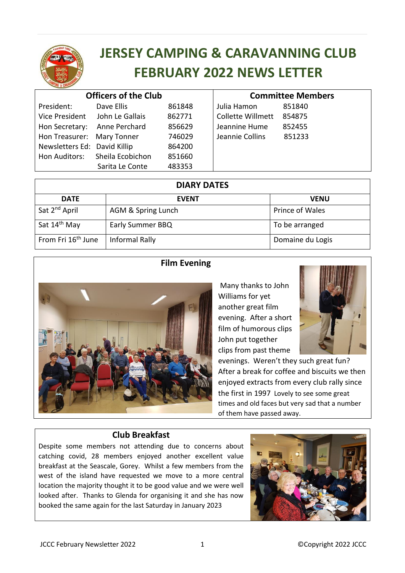

# **JERSEY CAMPING & CARAVANNING CLUB FEBRUARY 2022 NEWS LETTER**

| <b>Officers of the Club</b>    |                  |        | <b>Committee Members</b> |        |
|--------------------------------|------------------|--------|--------------------------|--------|
| President:                     | Dave Ellis       | 861848 | Julia Hamon              | 851840 |
| Vice President John Le Gallais |                  | 862771 | <b>Collette Willmett</b> | 854875 |
| Hon Secretary:                 | Anne Perchard    | 856629 | Jeannine Hume            | 852455 |
| Hon Treasurer: Mary Tonner     |                  | 746029 | Jeannie Collins          | 851233 |
| Newsletters Ed: David Killip   |                  | 864200 |                          |        |
| Hon Auditors:                  | Sheila Ecobichon | 851660 |                          |        |
|                                | Sarita Le Conte  | 483353 |                          |        |
|                                |                  |        |                          |        |

| <b>DIARY DATES</b>             |                    |                  |  |  |  |
|--------------------------------|--------------------|------------------|--|--|--|
| <b>DATE</b>                    | <b>EVENT</b>       | <b>VENU</b>      |  |  |  |
| Sat 2 <sup>nd</sup> April      | AGM & Spring Lunch | Prince of Wales  |  |  |  |
| Sat 14 <sup>th</sup> May       | Early Summer BBQ   | To be arranged   |  |  |  |
| From Fri 16 <sup>th</sup> June | Informal Rally     | Domaine du Logis |  |  |  |

## **Film Evening**



Many thanks to John Williams for yet another great film evening. After a short film of humorous clips John put together clips from past theme



evenings. Weren't they such great fun? After a break for coffee and biscuits we then enjoyed extracts from every club rally since the first in 1997 Lovely to see some great times and old faces but very sad that a number of them have passed away.

#### **Club Breakfast**

Despite some members not attending due to concerns about catching covid, 28 members enjoyed another excellent value breakfast at the Seascale, Gorey. Whilst a few members from the west of the island have requested we move to a more central location the majority thought it to be good value and we were well looked after. Thanks to Glenda for organising it and she has now booked the same again for the last Saturday in January 2023

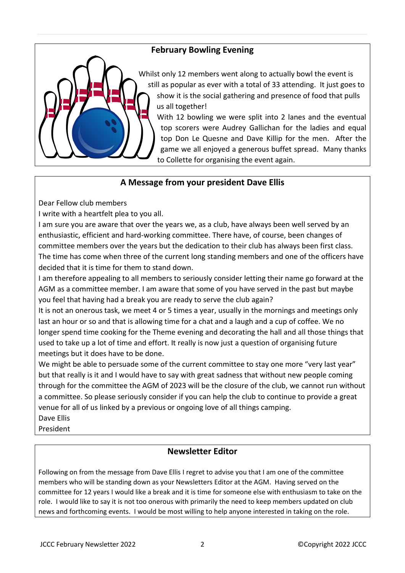# **February Bowling Evening**



Whilst only 12 members went along to actually bowl the event is still as popular as ever with a total of 33 attending. It just goes to show it is the social gathering and presence of food that pulls us all together!

With 12 bowling we were split into 2 lanes and the eventual top scorers were Audrey Gallichan for the ladies and equal top Don Le Quesne and Dave Killip for the men. After the game we all enjoyed a generous buffet spread. Many thanks to Collette for organising the event again.

#### **A Message from your president Dave Ellis**

Dear Fellow club members

I write with a heartfelt plea to you all.

I am sure you are aware that over the years we, as a club, have always been well served by an enthusiastic, efficient and hard-working committee. There have, of course, been changes of committee members over the years but the dedication to their club has always been first class. The time has come when three of the current long standing members and one of the officers have decided that it is time for them to stand down.

I am therefore appealing to all members to seriously consider letting their name go forward at the AGM as a committee member. I am aware that some of you have served in the past but maybe you feel that having had a break you are ready to serve the club again?

It is not an onerous task, we meet 4 or 5 times a year, usually in the mornings and meetings only last an hour or so and that is allowing time for a chat and a laugh and a cup of coffee. We no longer spend time cooking for the Theme evening and decorating the hall and all those things that used to take up a lot of time and effort. It really is now just a question of organising future meetings but it does have to be done.

We might be able to persuade some of the current committee to stay one more "very last year" but that really is it and I would have to say with great sadness that without new people coming through for the committee the AGM of 2023 will be the closure of the club, we cannot run without a committee. So please seriously consider if you can help the club to continue to provide a great venue for all of us linked by a previous or ongoing love of all things camping.

Dave Ellis

President

## **Newsletter Editor**

Following on from the message from Dave Ellis I regret to advise you that I am one of the committee members who will be standing down as your Newsletters Editor at the AGM. Having served on the committee for 12 years I would like a break and it is time for someone else with enthusiasm to take on the role. I would like to say it is not too onerous with primarily the need to keep members updated on club news and forthcoming events. I would be most willing to help anyone interested in taking on the role.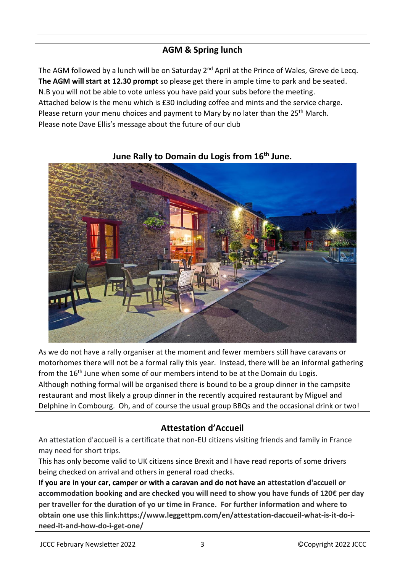# **AGM & Spring lunch**

The AGM followed by a lunch will be on Saturday 2<sup>nd</sup> April at the Prince of Wales, Greve de Lecq. **The AGM will start at 12.30 prompt** so please get there in ample time to park and be seated. N.B you will not be able to vote unless you have paid your subs before the meeting. Attached below is the menu which is £30 including coffee and mints and the service charge. Please return your menu choices and payment to Mary by no later than the  $25<sup>th</sup>$  March. Please note Dave Ellis's message about the future of our club



As we do not have a rally organiser at the moment and fewer members still have caravans or motorhomes there will not be a formal rally this year. Instead, there will be an informal gathering from the  $16<sup>th</sup>$  June when some of our members intend to be at the Domain du Logis. Although nothing formal will be organised there is bound to be a group dinner in the campsite restaurant and most likely a group dinner in the recently acquired restaurant by Miguel and Delphine in Combourg. Oh, and of course the usual group BBQs and the occasional drink or two!

# **Attestation d'Accueil**

An attestation d'accueil is a certificate that non-EU citizens visiting friends and family in France may need for short trips.

This has only become valid to UK citizens since Brexit and I have read reports of some drivers being checked on arrival and others in general road checks.

**If you are in your car, camper or with a caravan and do not have an attestation d'accueil or accommodation booking and are checked you will need to show you have funds of 120€ per day per traveller for the duration of yo ur time in France. For further information and where to obtain one use this link:https://www.leggettpm.com/en/attestation-daccueil-what-is-it-do-ineed-it-and-how-do-i-get-one/**